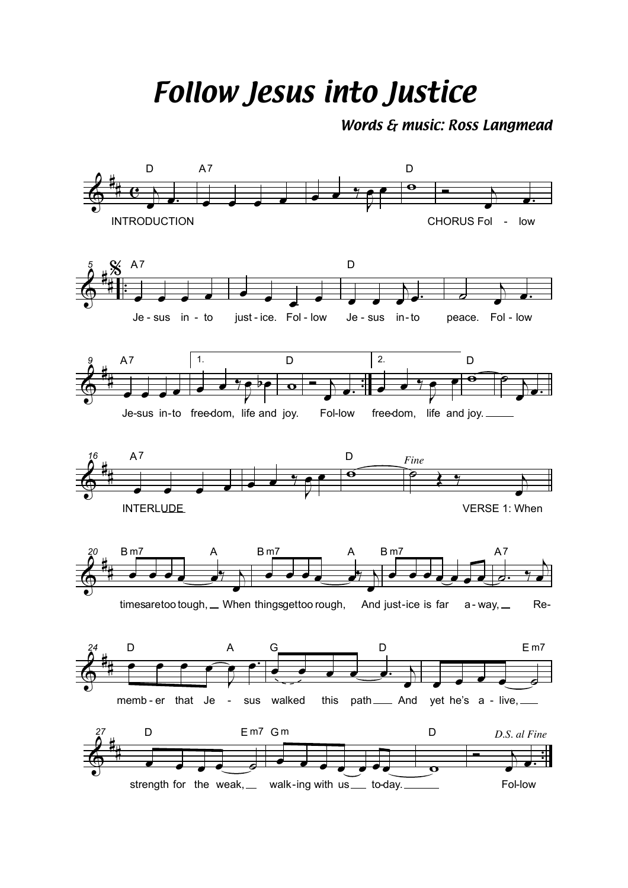*Follow Jesus into Justice*

*Words & music: Ross Langmead*